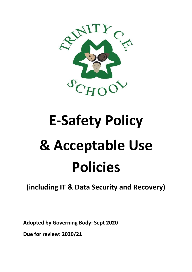

# **E-Safety Policy & Acceptable Use Policies**

# **(including IT & Data Security and Recovery)**

**Adopted by Governing Body: Sept 2020**

**Due for review: 2020/21**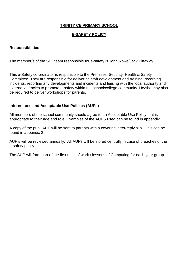# **TRINITY CE PRIMARY SCHOOL**

#### **E-SAFETY POLICY**

#### **Responsibilities**

The member/s of the SLT team responsible for e-safety is John Rowe/Jack Pittaway.

This e-Safety co-ordinator is responsible to the Premises, Security, Health & Safety Committee. They are responsible for delivering staff development and training, recording incidents, reporting any developments and incidents and liaising with the local authority and external agencies to promote e-safety within the school/college community. He/she may also be required to deliver workshops for parents.

#### **Internet use and Acceptable Use Policies (AUPs)**

All members of the school community should agree to an Acceptable Use Policy that is appropriate to their age and role. Examples of the AUPS used can be found in appendix 1.

A copy of the pupil AUP will be sent to parents with a covering letter/reply slip. This can be found in appendix 2

AUP's will be reviewed annually. All AUPs will be stored centrally in case of breaches of the e-safety policy.

The AUP will form part of the first units of work / lessons of Computing for each year group.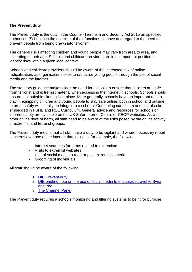# **The Prevent duty**

The Prevent duty is the duty in the Counter-Terrorism and Security Act 2015 on specified authorities (Schools) in the exercise of their functions, to have due regard to the need to prevent people from being drawn into terrorism.

The general risks affecting children and young people may vary from area to area, and according to their age. Schools and childcare providers are in an important position to identify risks within a given local context.

Schools and childcare providers should be aware of the increased risk of online radicalisation, as organisations seek to radicalise young people through the use of social media and the internet.

The statutory guidance makes clear the need for schools to ensure that children are safe from terrorist and extremist material when accessing the internet in schools. Schools should ensure that suitable filtering is in place. More generally, schools have an important role to play in equipping children and young people to stay safe online, both in school and outside. Internet safety will usually be integral to a school's Computing curriculum and can also be embedded in PSHE and RSE Curriculum. General advice and resources for schools on internet safety are available on the UK Safer Internet Centre or CEOP websites. As with other online risks of harm, all staff need to be aware of the risks posed by the online activity of extremist and terrorist groups.

The Prevent duty means that all staff have a duty to be vigilant and where necessary report concerns over use of the internet that includes, for example, the following:

- Internet searches for terms related to extremism
- Visits to extremist websites
- Use of social media to read or post extremist material
- Grooming of individuals

All staff should be aware of the following

- 1. [DfE Prevent duty](https://www.gov.uk/government/uploads/system/uploads/attachment_data/file/439598/prevent-duty-departmental-advice-v6.pdf)
- 2. [DfE briefing note on the use of social media to encourage travel to Syria](https://www.gov.uk/government/uploads/system/uploads/attachment_data/file/440450/How_social_media_is_used_to_encourage_travel_to_Syria_and_Iraq.pdf)  [and Iraq](https://www.gov.uk/government/uploads/system/uploads/attachment_data/file/440450/How_social_media_is_used_to_encourage_travel_to_Syria_and_Iraq.pdf)
- 3. [The Channel Panel](http://course.ncalt.com/Channel_General_Awareness/01/index.html)

The Prevent duty requires a schools monitoring and filtering systems to be fit for purpose.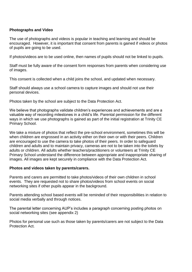#### **Photographs and Video**

The use of photographs and videos is popular in teaching and learning and should be encouraged. However, it is important that consent from parents is gained if videos or photos of pupils are going to be used.

If photos/videos are to be used online, then names of pupils should not be linked to pupils.

Staff must be fully aware of the consent form responses from parents when considering use of images.

This consent is collected when a child joins the school, and updated when necessary.

Staff should always use a school camera to capture images and should not use their personal devices.

Photos taken by the school are subject to the Data Protection Act.

We believe that photographs validate children's experiences and achievements and are a valuable way of recording milestones in a child's life. Parental permission for the different ways in which we use photographs is gained as part of the initial registration at Trinity CE Primary School.

We take a mixture of photos that reflect the pre-school environment, sometimes this will be when children are engrossed in an activity either on their own or with their peers. Children are encouraged to use the camera to take photos of their peers. In order to safeguard children and adults and to maintain privacy, cameras are not to be taken into the toilets by adults or children. All adults whether teachers/practitioners or volunteers at Trinity CE Primary School understand the difference between appropriate and inappropriate sharing of images. All images are kept securely in compliance with the Data Protection Act.

#### **Photos and videos taken by parents/carers.**

Parents and carers are permitted to take photos/videos of their own children in school events. They are requested not to share photos/videos from school events on social networking sites if other pupils appear in the background.

Parents attending school based events will be reminded of their responsibilities in relation to social media verbally and through notices.

The parental letter concerning AUP's includes a paragraph concerning posting photos on social networking sites (see appendix 2)

Photos for personal use such as those taken by parents/carers are not subject to the Data Protection Act.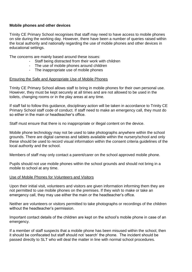#### **Mobile phones and other devices**

Trinity CE Primary School recognises that staff may need to have access to mobile phones on site during the working day. However, there have been a number of queries raised within the local authority and nationally regarding the use of mobile phones and other devices in educational settings.

The concerns are mainly based around these issues:

- Staff being distracted from their work with children
- The use of mobile phones around children
- The inappropriate use of mobile phones

#### Ensuring the Safe and Appropriate Use of Mobile Phones

Trinity CE Primary School allows staff to bring in mobile phones for their own personal use. However, they must be kept securely at all times and are not allowed to be used in the toilets, changing rooms or in the play areas at any time.

If staff fail to follow this guidance, disciplinary action will be taken in accordance to Trinity CE Primary School staff code of conduct. If staff need to make an emergency call, they must do so either in the main or headteacher's office.

Staff must ensure that there is no inappropriate or illegal content on the device.

Mobile phone technology may not be used to take photographs anywhere within the school grounds. There are digital cameras and tablets available within the nursery/school and only these should be used to record visual information within the consent criteria guidelines of the local authority and the school.

Members of staff may only contact a parent/carer on the school approved mobile phone.

Pupils should not use mobile phones within the school grounds and should not bring in a mobile to school at any time.

#### Use of Mobile Phones for Volunteers and Visitors

Upon their initial visit, volunteers and visitors are given information informing them they are not permitted to use mobile phones on the premises. If they wish to make or take an emergency call, they may use either the main or the headteacher's office.

Neither are volunteers or visitors permitted to take photographs or recordings of the children without the headteacher's permission.

Important contact details of the children are kept on the school's mobile phone in case of an emergency.

If a member of staff suspects that a mobile phone has been misused within the school, then it should be confiscated but staff should not 'search' the phone. The incident should be passed directly to SLT who will deal the matter in line with normal school procedures.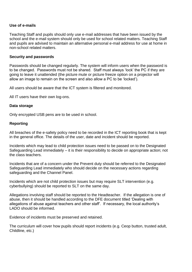#### **Use of e-mails**

Teaching Staff and pupils should only use e-mail addresses that have been issued by the school and the e-mail system should only be used for school related matters. Teaching Staff and pupils are advised to maintain an alternative personal e-mail address for use at home in non-school related matters.

#### **Security and passwords**

Passwords should be changed regularly. The system will inform users when the password is to be changed. Passwords must not be shared. Staff must always 'lock' the PC if they are going to leave it unattended (the picture mute or picture freeze option on a projector will allow an image to remain on the screen and also allow a PC to be 'locked').

All users should be aware that the ICT system is filtered and monitored.

All IT users have their own log-ons.

#### **Data storage**

Only encrypted USB pens are to be used in school.

#### **Reporting**

All breaches of the e-safety policy need to be recorded in the ICT reporting book that is kept in the general office. The details of the user, date and incident should be reported.

Incidents which may lead to child protection issues need to be passed on to the Designated Safeguarding Lead immediately – it is their responsibility to decide on appropriate action; not the class teachers.

Incidents that are of a concern under the Prevent duty should be referred to the Designated Safeguarding Lead immediately who should decide on the necessary actions regarding safeguarding and the Channel Panel.

Incidents which are not child protection issues but may require SLT intervention (e.g. cyberbullying) should be reported to SLT on the same day.

Allegations involving staff should be reported to the Headteacher. If the allegation is one of abuse, then it should be handled according to the DFE document titled 'Dealing with allegations of abuse against teachers and other staff'. If necessary, the local authority's LADO should be informed.

Evidence of incidents must be preserved and retained.

The curriculum will cover how pupils should report incidents (e.g. Ceop button, trusted adult, Childline, etc.)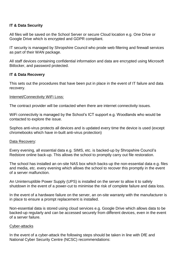#### **IT & Data Security**

All files will be saved on the School Server or secure Cloud location e.g. One Drive or Google Drive which is encrypted and GDPR compliant.

IT security is managed by Shropshire Council who prode web filtering and firewall services as part of their WAN package.

All staff devices containing confidential information and data are encrypted using Microsoft Bitlocker, and password protected.

#### **IT & Data Recovery**

This sets out the procedures that have been put in place in the event of IT failure and data recovery.

#### Internet/Connectivity WiFi Loss:

The contract provider will be contacted when there are internet connectivity issues.

WiFi connectivity is managed by the School's ICT support e.g. Woodlands who would be contacted to explore the issue.

Sophos anti-virus protects all devices and is updated every time the device is used (except chromebooks which have in-built anti-virus protection)

#### Data Recovery:

Every evening, all essential data e.g. SIMS, etc. is backed-up by Shropshire Council's Redstore online back-up. This allows the school to promptly carry out file restoration.

The school has installed an on-site NAS box which backs-up the non-essential data e.g. files and media, etc. every evening which allows the school to recover this promptly in the event of a server malfunction.

An Uninterruptible Power Supply (UPS) is installed on the server to allow it to safely shutdown in the event of a power-cut to minimise the risk of complete failure and data loss.

In the event of a hardware failure on the server, an on-site warranty with the manufacturer is in place to ensure a prompt replacement is installed.

Non-essential data is stored using cloud services e.g. Google Drive which allows data to be backed-up regularly and can be accessed securely from different devices, even in the event of a server failure.

#### Cyber-attacks

In the event of a cyber-attack the following steps should be taken in line with DfE and National Cyber Security Centre (NCSC) recommendations: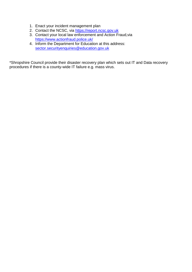- 1. Enact your incident management plan
- 2. Contact the NCSC, via [https://report.ncsc.gov.uk](https://report.ncsc.gov.uk/)
- 3. Contact your local law enforcement and Action Fraud,via <https://www.actionfraud.police.uk/>
- 4. Inform the Department for Education at this address: [sector.securityenquiries@education.gov.uk](mailto:sector.securityenquiries@education.gov.uk)

\*Shropshire Council provide their disaster recovery plan which sets out IT and Data recovery procedures if there is a county-wide IT failure e.g. mass virus.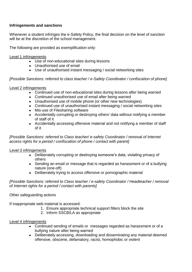# **Infringements and sanctions**

Whenever a student infringes the e-Safety Policy, the final decision on the level of sanction will be at the discretion of the school management.

The following are provided as exemplification only:

Level 1 infringements

- Use of non-educational sites during lessons
- Unauthorised use of email
- Use of unauthorised instant messaging / social networking sites

*[Possible Sanctions: referred to class teacher / e-Safety Coordinator / confiscation of phone]* 

#### Level 2 infringements

- Continued use of non-educational sites during lessons after being warned
- Continued unauthorised use of email after being warned
- Unauthorised use of mobile phone (or other new technologies)
- Continued use of unauthorised instant messaging / social networking sites
- Mis-use of Filesharing software
- Accidentally corrupting or destroying others' data without notifying a member of staff of it
- Accidentally accessing offensive material and not notifying a member of staff of it

#### *[Possible Sanctions: referred to Class teacher/ e-safety Coordinator / removal of Internet access rights for a period / confiscation of phone / contact with parent]*

# Level 3 infringements

- Deliberately corrupting or destroying someone's data, violating privacy of others
- Sending an email or message that is regarded as harassment or of a bullying nature (one-off)
- Deliberately trying to access offensive or pornographic material

*[Possible Sanctions: referred to Class teacher / e-safety Coordinator / Headteacher / removal of Internet rights for a period / contact with parents]* 

# Other safeguarding actions

If inappropriate web material is accessed:

- 1. Ensure appropriate technical support filters block the site
- 2. Inform SSCB/LA as appropriate

# Level 4 infringements

- Continued sending of emails or messages regarded as harassment or of a bullying nature after being warned
- Deliberately accessing, downloading and disseminating any material deemed offensive, obscene, defamatory, racist, homophobic or violent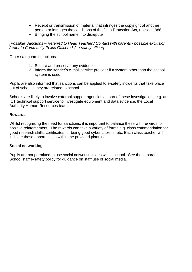- Receipt or transmission of material that infringes the copyright of another person or infringes the conditions of the Data Protection Act, revised 1988
- Bringing the school name into disrepute

*[Possible Sanctions – Referred to Head Teacher / Contact with parents / possible exclusion / refer to Community Police Officer / LA e-safety officer]* 

Other safeguarding actions:

- 1. Secure and preserve any evidence
- 2. Inform the sender's e-mail service provider if a system other than the school system is used.

Pupils are also informed that sanctions can be applied to e-safety incidents that take place out of school if they are related to school.

Schools are likely to involve external support agencies as part of these investigations e.g. an ICT technical support service to investigate equipment and data evidence, the Local Authority Human Resources team.

#### **Rewards**

Whilst recognising the need for sanctions, it is important to balance these with rewards for positive reinforcement. The rewards can take a variety of forms e.g. class commendation for good research skills, certificates for being good cyber citizens, etc. Each class teacher will indicate these opportunities within the provided planning.

# **Social networking**

Pupils are not permitted to use social networking sites within school. See the separate School staff e-safety policy for guidance on staff use of social media.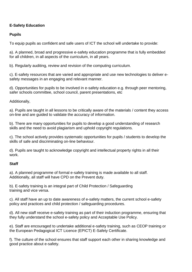# **E-Safety Education**

# **Pupils**

To equip pupils as confident and safe users of ICT the school will undertake to provide:

a). A planned, broad and progressive e-safety education programme that is fully embedded for all children, in all aspects of the curriculum, in all years.

b). Regularly auditing, review and revision of the computing curriculum.

c). E-safety resources that are varied and appropriate and use new technologies to deliver esafety messages in an engaging and relevant manner.

d). Opportunities for pupils to be involved in e-safety education e.g. through peer mentoring, safer schools committee, school council, parent presentations, etc

Additionally,

a). Pupils are taught in all lessons to be critically aware of the materials / content they access on-line and are guided to validate the accuracy of information.

b). There are many opportunities for pupils to develop a good understanding of research skills and the need to avoid plagiarism and uphold copyright regulations.

c). The school actively provides systematic opportunities for pupils / students to develop the skills of safe and discriminating on-line behaviour.

d). Pupils are taught to acknowledge copyright and intellectual property rights in all their work.

# **Staff**

a). A planned programme of formal e-safety training is made available to all staff. Additionally, all staff will have CPD on the Prevent duty.

b). E-safety training is an integral part of Child Protection / Safeguarding training and vice versa.

c). All staff have an up to date awareness of e-safety matters, the current school e-safety policy and practices and child protection / safeguarding procedures.

d). All new staff receive e-safety training as part of their induction programme, ensuring that they fully understand the school e-safety policy and Acceptable Use Policy.

e). Staff are encouraged to undertake additional e-safety training, such as CEOP training or the European Pedagogical ICT Licence (EPICT) E-Safety Certificate.

f). The culture of the school ensures that staff support each other in sharing knowledge and good practice about e-safety.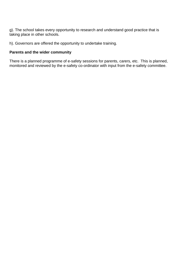g). The school takes every opportunity to research and understand good practice that is taking place in other schools.

h). Governors are offered the opportunity to undertake training.

# **Parents and the wider community**

There is a planned programme of e-safety sessions for parents, carers, etc. This is planned, monitored and reviewed by the e-safety co-ordinator with input from the e-safety committee.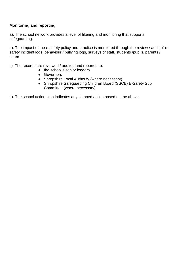# **Monitoring and reporting**

a). The school network provides a level of filtering and monitoring that supports safeguarding.

b). The impact of the e-safety policy and practice is monitored through the review / audit of esafety incident logs, behaviour / bullying logs, surveys of staff, students /pupils, parents / carers

c). The records are reviewed / audited and reported to:

- the school's senior leaders
- Governors
- Shropshire Local Authority (where necessary)
- Shropshire Safeguarding Children Board (SSCB) E-Safety Sub Committee (where necessary)
- d). The school action plan indicates any planned action based on the above.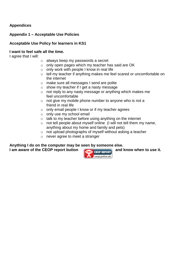# **Appendices**

# **Appendix 1 – Acceptable Use Policies**

# **Acceptable Use Policy for learners in KS1**

#### **I want to feel safe all the time.**

I agree that I will:

- o always keep my passwords a secret
- o only open pages which my teacher has said are OK
- $\circ$  only work with people I know in real life
- o tell my teacher if anything makes me feel scared or uncomfortable on the internet
- o make sure all messages I send are polite
- o show my teacher if I get a nasty message
- o not reply to any nasty message or anything which makes me feel uncomfortable
- $\circ$  not give my mobile phone number to anyone who is not a friend in real life
- o only email people I know or if my teacher agrees
- o only use my school email
- o talk to my teacher before using anything on the internet
- $\circ$  not tell people about myself online (I will not tell them my name, anything about my home and family and pets)
- o not upload photographs of myself without asking a teacher
- o never agree to meet a stranger

#### **Anything I do on the computer may be seen by someone else.**

I am aware of the CEOP report button **All CEOP REPORT** and know when to use it.

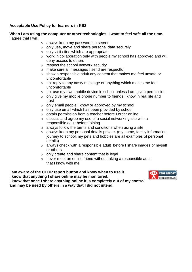# **Acceptable Use Policy for learners in KS2**

#### **When I am using the computer or other technologies, I want to feel safe all the time.**  I agree that I will:

- o always keep my passwords a secret
- o only use, move and share personal data securely
- $\circ$  only visit sites which are appropriate
- o work in collaboration only with people my school has approved and will deny access to others
- o respect the school network security
- o make sure all messages I send are respectful
- o show a responsible adult any content that makes me feel unsafe or uncomfortable
- o not reply to any nasty message or anything which makes me feel uncomfortable
- o not use my own mobile device in school unless I am given permission
- $\circ$  only give my mobile phone number to friends I know in real life and trust
- o only email people I know or approved by my school
- o only use email which has been provided by school
- o obtain permission from a teacher before I order online
- $\circ$  discuss and agree my use of a social networking site with a responsible adult before joining
- $\circ$  always follow the terms and conditions when using a site
- o always keep my personal details private. (my name, family information, journey to school, my pets and hobbies are all examples of personal details)
- o always check with a responsible adult before I share images of myself or others
- $\circ$  only create and share content that is legal
- o never meet an online friend without taking a responsible adult that I know with me

**I am aware of the CEOP report button and know when to use it. I know that anything I share online may be monitored. I know that once I share anything online it is completely out of my control and may be used by others in a way that I did not intend.**

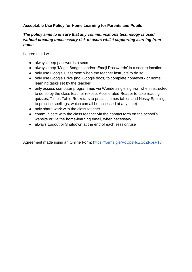# **Acceptable Use Policy for Home Learning for Parents and Pupils**

# *The policy aims to ensure that any communications technology is used without creating unnecessary risk to users whilst supporting learning from home.*

I agree that I will:

- always keep passwords a secret
- always keep 'Magic Badges' and/or 'Emoji Passwords' in a secure location
- only use Google Classroom when the teacher instructs to do so
- only use Google Drive (inc. Google docs) to complete homework or home learning tasks set by the teacher
- only access computer programmes via Wonde single sign-on when instructed to do so by the class teacher (except Accelerated Reader to take reading quizzes, Times Table Rockstars to practice times tables and Nessy Spellings to practice spellings, which can all be accessed at any time)
- only share work with the class teacher
- communicate with the class teacher via the contact form on the school's website or via the home-learning email, when necessary
- always Logout or Shutdown at the end of each session/use

Agreement made using an Online Form:<https://forms.gle/PoCpsHqZCdZRbsP18>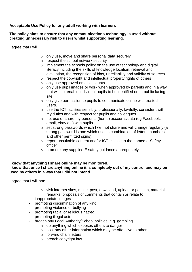# **Acceptable Use Policy for any adult working with learners**

#### **The policy aims to ensure that any communications technology is used without creating unnecessary risk to users whilst supporting learning.**

I agree that I will:

- o only use, move and share personal data securely
- o respect the school network security
- $\circ$  implement the schools policy on the use of technology and digital literacy including the skills of knowledge location, retrieval and evaluation, the recognition of bias, unreliability and validity of sources
- o respect the copyright and intellectual property rights of others
- o only use approved email accounts
- $\circ$  only use pupil images or work when approved by parents and in a way that will not enable individual pupils to be identified on a public facing site.
- $\circ$  only give permission to pupils to communicate online with trusted users.
- $\circ$  use the ICT facilities sensibly, professionally, lawfully, consistent with my duties and with respect for pupils and colleagues.
- o not use or share my personal (home) accounts/data (eg Facebook, email, ebay etc) with pupils
- o set strong passwords which I will not share and will change regularly (a strong password is one which uses a combination of letters, numbers and other permitted signs).
- o report unsuitable content and/or ICT misuse to the named e-Safety officer
- o promote any supplied E safety guidance appropriately.

#### **I know that anything I share online may be monitored. I know that once I share anything online it is completely out of my control and may be used by others in a way that I did not intend.**

I agree that I will not:

- o visit internet sites, make, post, download, upload or pass on, material, remarks, proposals or comments that contain or relate to:
- inappropriate images
- promoting discrimination of any kind
- promoting violence or bullying
- promoting racial or religious hatred
- promoting illegal acts
- breach any Local Authority/School policies, e.g. gambling
	- o do anything which exposes others to danger
	- o post any other information which may be offensive to others
	- o forward chain letters
	- o breach copyright law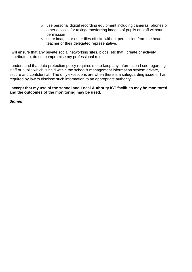- o use personal digital recording equipment including cameras, phones or other devices for taking/transferring images of pupils or staff without permission
- o store images or other files off site without permission from the head teacher or their delegated representative.

I will ensure that any private social networking sites, blogs, etc that I create or actively contribute to, do not compromise my professional role.

I understand that data protection policy requires me to keep any information I see regarding staff or pupils which is held within the school's management information system private, secure and confidential. The only exceptions are when there is a safequarding issue or I am required by law to disclose such information to an appropriate authority.

#### **I accept that my use of the school and Local Authority ICT facilities may be monitored and the outcomes of the monitoring may be used.**

**Signed** *Signed*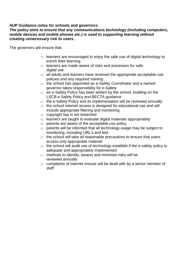# **AUP Guidance notes for schools and governors**

#### *The policy aims to ensure that any communications technology (including computers, mobile devices and mobile phones etc.) is used to supporting learning without creating unnecessary risk to users.*

The governors will ensure that:

- o learners are encouraged to enjoy the safe use of digital technology to enrich their learning
- o learners are made aware of risks and processes for safe digital use
- o all adults and learners have received the appropriate acceptable use policies and any required training
- o the school has appointed an e-Safety Coordinator and a named governor takes responsibility for e-Safety
- o an e-Safety Policy has been written by the school, building on the LSCB e Safety Policy and BECTA guidance
- $\circ$  the e-Safety Policy and its implementation will be reviewed annually
- o the school internet access is designed for educational use and will include appropriate filtering and monitoring
- o copyright law is not breached
- $\circ$  learners are taught to evaluate digital materials appropriately
- o parents are aware of the acceptable use policy
- o parents will be informed that all technology usage may be subject to monitoring, including URL's and text
- o the school will take all reasonable precautions to ensure that users access only appropriate material
- $\circ$  the school will audit use of technology establish if the e-safety policy is adequate and appropriately implemented
- o methods to identify, assess and minimise risks will be reviewed annually
- o complaints of internet misuse will be dealt with by a senior member of staff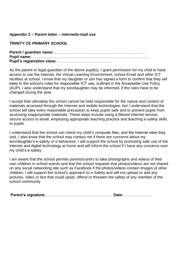#### **Appendix 2 – Parent letter – internet/e-mail use**

#### *TRINITY CE PRIMARY SCHOOL*

**Parent / guardian name:**…………………………………………………………….. **Pupil name:** ………………………………………………………………………………. **Pupil's registration class:** ……………………………………

As the parent or legal guardian of the above pupil(s), I grant permission for my child to have access to use the Internet, the Virtual Learning Environment, school Email and other ICT facilities at school. I know that my daughter or son has signed a form to confirm that they will keep to the school's rules for responsible ICT use, outlined in the Acceptable Use Policy (AUP). I also understand that my son/daughter may be informed, if the rules have to be changed during the year.

I accept that ultimately the school cannot be held responsible for the nature and content of materials accessed through the Internet and mobile technologies, but I understand that the school will take every reasonable precaution to keep pupils safe and to prevent pupils from accessing inappropriate materials. These steps include using a filtered internet service, secure access to email, employing appropriate teaching practice and teaching e-safety skills to pupils.

I understand that the school can check my child's computer files, and the Internet sites they visit. I also know that the school may contact me if there are concerns about my son/daughter's e-safety or e-behaviour. I will support the school by promoting safe use of the Internet and digital technology at home and will inform the school if I have any concerns over my child's e-safety.

I am aware that the school permits parents/carers to take photographs and videos of their own children in school events and that the school requests that photos/videos are not shared on any social networking site such as Facebook if the photos/videos contain images of other children. I will support the school's approach to e-Safety and will not upload or add any pictures, video or text that could upset, offend or threaten the safety of any member of the school community

**Parent's signature:**……………………………………………. **Date:**………………….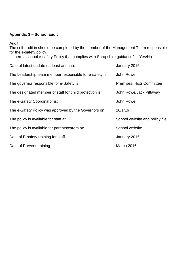# **Appendix 3 – School audit**

Audit

The self-audit in should be completed by the member of the Management Team responsible for the e-safety policy.

Is there a school e-safety Policy that complies with Shropshire guidance? Yes/No

| Date of latest update (at least annual):                | January 2016                   |
|---------------------------------------------------------|--------------------------------|
| The Leadership team member responsible for e-safety is: | John Rowe                      |
| The governor responsible for e-Safety is:               | Premises, H&S Committee        |
| The designated member of staff for child protection is: | John Rowe/Jack Pittaway        |
| The e-Safety Coordinator is:                            | John Rowe                      |
| The e-Safety Policy was approved by the Governors on    | 10/1/16                        |
| The policy is available for staff at:                   | School website and policy file |
| The policy is available for parents/carers at:          | School website                 |
| Date of E-safety training for staff                     | January 2015                   |
| Date of Prevent training                                | March 2016                     |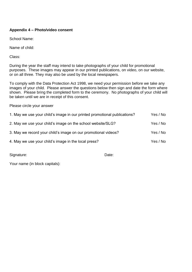# **Appendix 4 – Photo/video consent**

School Name:

Name of child:

Class:

During the year the staff may intend to take photographs of your child for promotional purposes. These images may appear in our printed publications, on video, on our website, or on all three. They may also be used by the local newspapers.

To comply with the Data Protection Act 1998, we need your permission before we take any images of your child. Please answer the questions below then sign and date the form where shown. Please bring the completed form to the ceremony. No photographs of your child will be taken until we are in receipt of this consent.

Please circle your answer

| 1. May we use your child's image in our printed promotional publications? | Yes / No |
|---------------------------------------------------------------------------|----------|
| 2. May we use your child's image on the school website/SLG?               | Yes / No |
| 3. May we record your child's image on our promotional videos?            | Yes / No |
| 4. May we use your child's image in the local press?                      | Yes / No |

Signature: Date: Date: Date: Date: Date: Date: Date: Date: Date: Date: Date: Date: Date: Date: Date: Date: Date: Date: Date: Date: Date: Date: Date: Date: Date: Date: Date: Date: Date: Date: Date: Date: Date: Date: Date: D

Your name (in block capitals):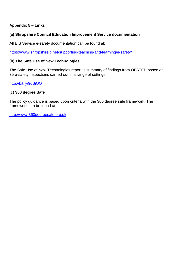# **Appendix 5 – Links**

#### **(a) Shropshire Council Education Improvement Service documentation**

All EIS Service e-safety documentation can be found at:

<https://www.shropshirelg.net/supporting-teaching-and-learning/e-safety/>

#### **(b) The Safe Use of New Technologies**

The Safe Use of New Technologies report is summary of findings from OFSTED based on 35 e-safety inspections carried out in a range of settings.

<http://bit.ly/9qBjQO>

#### (**c) 360 degree Safe**

The policy guidance is based upon criteria with the 360 degree safe framework. The framework can be found at:

[http://www.360degreesafe.org.uk](http://www.360degreesafe.org.uk/)